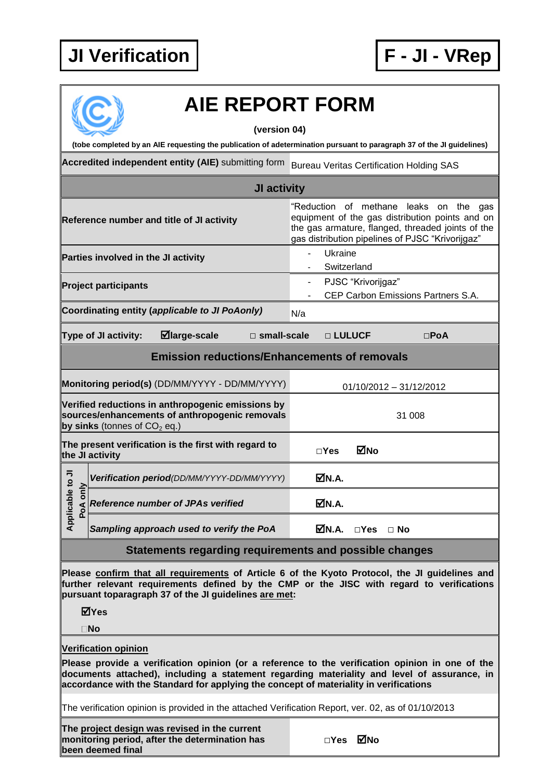## **JI Verification F - JI - VRep**



## **AIE REPORT FORM**

**(version 04)**

**(tobe completed by an AIE requesting the publication of adetermination pursuant to paragraph 37 of the JI guidelines)**

**Accredited independent entity (AIE)** submitting form Bureau Veritas Certification Holding SAS

|                                 | JI activity                                                                                                                           |                                                                                                                                                                                                    |
|---------------------------------|---------------------------------------------------------------------------------------------------------------------------------------|----------------------------------------------------------------------------------------------------------------------------------------------------------------------------------------------------|
|                                 | Reference number and title of JI activity                                                                                             | "Reduction of methane leaks on the gas<br>equipment of the gas distribution points and on<br>the gas armature, flanged, threaded joints of the<br>gas distribution pipelines of PJSC "Krivorijgaz" |
|                                 | Parties involved in the JI activity                                                                                                   | Ukraine<br>Switzerland                                                                                                                                                                             |
|                                 | <b>Project participants</b>                                                                                                           | PJSC "Krivorijgaz"<br>$\blacksquare$<br>CEP Carbon Emissions Partners S.A.                                                                                                                         |
|                                 | Coordinating entity (applicable to JI PoAonly)                                                                                        | N/a                                                                                                                                                                                                |
|                                 | $\blacksquare$ large-scale<br>Type of JI activity:<br>$\square$ small-scale                                                           | □ LULUCF<br>$\square$ PoA                                                                                                                                                                          |
|                                 | <b>Emission reductions/Enhancements of removals</b>                                                                                   |                                                                                                                                                                                                    |
|                                 | Monitoring period(s) (DD/MM/YYYY - DD/MM/YYYY)                                                                                        | 01/10/2012 - 31/12/2012                                                                                                                                                                            |
|                                 | Verified reductions in anthropogenic emissions by<br>sources/enhancements of anthropogenic removals<br>by sinks (tonnes of $CO2$ eq.) | 31 008                                                                                                                                                                                             |
|                                 | The present verification is the first with regard to<br>the JI activity                                                               | MNo<br>$\square$ Yes                                                                                                                                                                               |
|                                 | Verification period(DD/MM/YYYY-DD/MM/YYYY)                                                                                            | MM.A.                                                                                                                                                                                              |
| Applicable to JI<br>only<br>PoA | Reference number of JPAs verified                                                                                                     | M.A.                                                                                                                                                                                               |
|                                 | Sampling approach used to verify the PoA                                                                                              | MN.A.<br>$\Box$ Yes $\Box$ No                                                                                                                                                                      |
|                                 | Statements regarding requirements and possible changes                                                                                |                                                                                                                                                                                                    |
|                                 | pursuant toparagraph 37 of the JI guidelines are met:<br>⊠Yes                                                                         | Please confirm that all requirements of Article 6 of the Kyoto Protocol, the JI guidelines and<br>further relevant requirements defined by the CMP or the JISC with regard to verifications        |
|                                 | $\square$ No                                                                                                                          |                                                                                                                                                                                                    |
|                                 | <b>Verification opinion</b><br>accordance with the Standard for applying the concept of materiality in verifications                  | Please provide a verification opinion (or a reference to the verification opinion in one of the<br>documents attached), including a statement regarding materiality and level of assurance, in     |
|                                 | The verification opinion is provided in the attached Verification Report, ver. 02, as of 01/10/2013                                   |                                                                                                                                                                                                    |
|                                 |                                                                                                                                       |                                                                                                                                                                                                    |

**The project design was revised in the current monitoring period, after the determination has been deemed final**

|  |  |  |  |  |  |  |  |  |  |  |  |  |  |  |  |  |  |  |  |  |  |  |  |  |  |  |  |  |  |  |  |  |  |  |  |  |  |  |  |  | $\Box$ Yes |     |
|--|--|--|--|--|--|--|--|--|--|--|--|--|--|--|--|--|--|--|--|--|--|--|--|--|--|--|--|--|--|--|--|--|--|--|--|--|--|--|--|--|------------|-----|
|  |  |  |  |  |  |  |  |  |  |  |  |  |  |  |  |  |  |  |  |  |  |  |  |  |  |  |  |  |  |  |  |  |  |  |  |  |  |  |  |  |            | ⊠́№ |
|  |  |  |  |  |  |  |  |  |  |  |  |  |  |  |  |  |  |  |  |  |  |  |  |  |  |  |  |  |  |  |  |  |  |  |  |  |  |  |  |  |            |     |
|  |  |  |  |  |  |  |  |  |  |  |  |  |  |  |  |  |  |  |  |  |  |  |  |  |  |  |  |  |  |  |  |  |  |  |  |  |  |  |  |  |            |     |
|  |  |  |  |  |  |  |  |  |  |  |  |  |  |  |  |  |  |  |  |  |  |  |  |  |  |  |  |  |  |  |  |  |  |  |  |  |  |  |  |  |            |     |
|  |  |  |  |  |  |  |  |  |  |  |  |  |  |  |  |  |  |  |  |  |  |  |  |  |  |  |  |  |  |  |  |  |  |  |  |  |  |  |  |  |            |     |
|  |  |  |  |  |  |  |  |  |  |  |  |  |  |  |  |  |  |  |  |  |  |  |  |  |  |  |  |  |  |  |  |  |  |  |  |  |  |  |  |  |            |     |